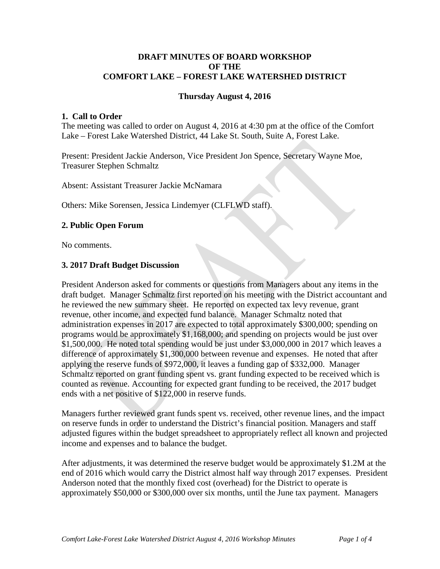## **DRAFT MINUTES OF BOARD WORKSHOP OF THE COMFORT LAKE – FOREST LAKE WATERSHED DISTRICT**

## **Thursday August 4, 2016**

#### **1. Call to Order**

The meeting was called to order on August 4, 2016 at 4:30 pm at the office of the Comfort Lake – Forest Lake Watershed District, 44 Lake St. South, Suite A, Forest Lake.

Present: President Jackie Anderson, Vice President Jon Spence, Secretary Wayne Moe, Treasurer Stephen Schmaltz

Absent: Assistant Treasurer Jackie McNamara

Others: Mike Sorensen, Jessica Lindemyer (CLFLWD staff).

#### **2. Public Open Forum**

No comments.

#### **3. 2017 Draft Budget Discussion**

President Anderson asked for comments or questions from Managers about any items in the draft budget. Manager Schmaltz first reported on his meeting with the District accountant and he reviewed the new summary sheet. He reported on expected tax levy revenue, grant revenue, other income, and expected fund balance. Manager Schmaltz noted that administration expenses in 2017 are expected to total approximately \$300,000; spending on programs would be approximately \$1,168,000; and spending on projects would be just over \$1,500,000. He noted total spending would be just under \$3,000,000 in 2017 which leaves a difference of approximately \$1,300,000 between revenue and expenses. He noted that after applying the reserve funds of \$972,000, it leaves a funding gap of \$332,000. Manager Schmaltz reported on grant funding spent vs. grant funding expected to be received which is counted as revenue. Accounting for expected grant funding to be received, the 2017 budget ends with a net positive of \$122,000 in reserve funds.

Managers further reviewed grant funds spent vs. received, other revenue lines, and the impact on reserve funds in order to understand the District's financial position. Managers and staff adjusted figures within the budget spreadsheet to appropriately reflect all known and projected income and expenses and to balance the budget.

After adjustments, it was determined the reserve budget would be approximately \$1.2M at the end of 2016 which would carry the District almost half way through 2017 expenses. President Anderson noted that the monthly fixed cost (overhead) for the District to operate is approximately \$50,000 or \$300,000 over six months, until the June tax payment. Managers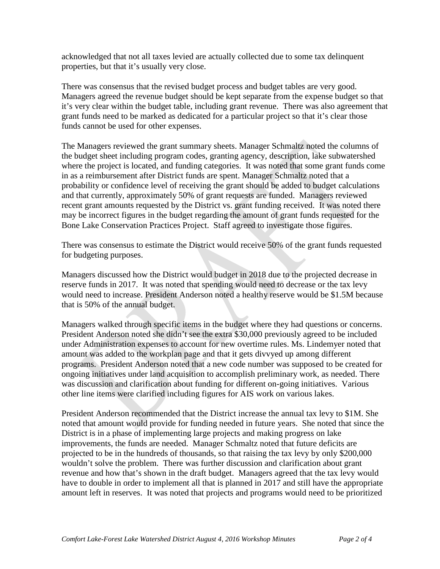acknowledged that not all taxes levied are actually collected due to some tax delinquent properties, but that it's usually very close.

There was consensus that the revised budget process and budget tables are very good. Managers agreed the revenue budget should be kept separate from the expense budget so that it's very clear within the budget table, including grant revenue. There was also agreement that grant funds need to be marked as dedicated for a particular project so that it's clear those funds cannot be used for other expenses.

The Managers reviewed the grant summary sheets. Manager Schmaltz noted the columns of the budget sheet including program codes, granting agency, description, lake subwatershed where the project is located, and funding categories. It was noted that some grant funds come in as a reimbursement after District funds are spent. Manager Schmaltz noted that a probability or confidence level of receiving the grant should be added to budget calculations and that currently, approximately 50% of grant requests are funded. Managers reviewed recent grant amounts requested by the District vs. grant funding received. It was noted there may be incorrect figures in the budget regarding the amount of grant funds requested for the Bone Lake Conservation Practices Project. Staff agreed to investigate those figures.

There was consensus to estimate the District would receive 50% of the grant funds requested for budgeting purposes.

Managers discussed how the District would budget in 2018 due to the projected decrease in reserve funds in 2017. It was noted that spending would need to decrease or the tax levy would need to increase. President Anderson noted a healthy reserve would be \$1.5M because that is 50% of the annual budget.

Managers walked through specific items in the budget where they had questions or concerns. President Anderson noted she didn't see the extra \$30,000 previously agreed to be included under Administration expenses to account for new overtime rules. Ms. Lindemyer noted that amount was added to the workplan page and that it gets divvyed up among different programs. President Anderson noted that a new code number was supposed to be created for ongoing initiatives under land acquisition to accomplish preliminary work, as needed. There was discussion and clarification about funding for different on-going initiatives. Various other line items were clarified including figures for AIS work on various lakes.

President Anderson recommended that the District increase the annual tax levy to \$1M. She noted that amount would provide for funding needed in future years. She noted that since the District is in a phase of implementing large projects and making progress on lake improvements, the funds are needed. Manager Schmaltz noted that future deficits are projected to be in the hundreds of thousands, so that raising the tax levy by only \$200,000 wouldn't solve the problem. There was further discussion and clarification about grant revenue and how that's shown in the draft budget. Managers agreed that the tax levy would have to double in order to implement all that is planned in 2017 and still have the appropriate amount left in reserves. It was noted that projects and programs would need to be prioritized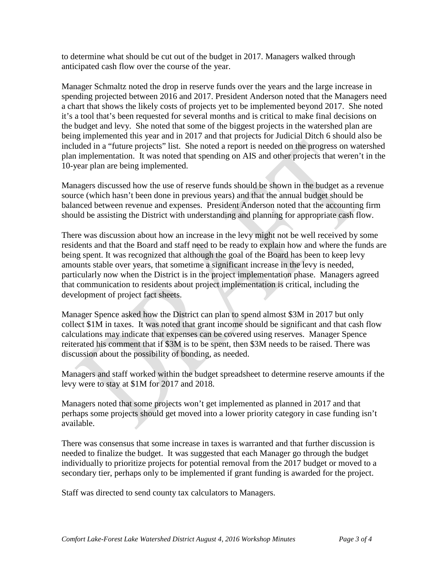to determine what should be cut out of the budget in 2017. Managers walked through anticipated cash flow over the course of the year.

Manager Schmaltz noted the drop in reserve funds over the years and the large increase in spending projected between 2016 and 2017. President Anderson noted that the Managers need a chart that shows the likely costs of projects yet to be implemented beyond 2017. She noted it's a tool that's been requested for several months and is critical to make final decisions on the budget and levy. She noted that some of the biggest projects in the watershed plan are being implemented this year and in 2017 and that projects for Judicial Ditch 6 should also be included in a "future projects" list. She noted a report is needed on the progress on watershed plan implementation. It was noted that spending on AIS and other projects that weren't in the 10-year plan are being implemented.

Managers discussed how the use of reserve funds should be shown in the budget as a revenue source (which hasn't been done in previous years) and that the annual budget should be balanced between revenue and expenses. President Anderson noted that the accounting firm should be assisting the District with understanding and planning for appropriate cash flow.

There was discussion about how an increase in the levy might not be well received by some residents and that the Board and staff need to be ready to explain how and where the funds are being spent. It was recognized that although the goal of the Board has been to keep levy amounts stable over years, that sometime a significant increase in the levy is needed, particularly now when the District is in the project implementation phase. Managers agreed that communication to residents about project implementation is critical, including the development of project fact sheets.

Manager Spence asked how the District can plan to spend almost \$3M in 2017 but only collect \$1M in taxes. It was noted that grant income should be significant and that cash flow calculations may indicate that expenses can be covered using reserves. Manager Spence reiterated his comment that if \$3M is to be spent, then \$3M needs to be raised. There was discussion about the possibility of bonding, as needed.

Managers and staff worked within the budget spreadsheet to determine reserve amounts if the levy were to stay at \$1M for 2017 and 2018.

Managers noted that some projects won't get implemented as planned in 2017 and that perhaps some projects should get moved into a lower priority category in case funding isn't available.

There was consensus that some increase in taxes is warranted and that further discussion is needed to finalize the budget. It was suggested that each Manager go through the budget individually to prioritize projects for potential removal from the 2017 budget or moved to a secondary tier, perhaps only to be implemented if grant funding is awarded for the project.

Staff was directed to send county tax calculators to Managers.